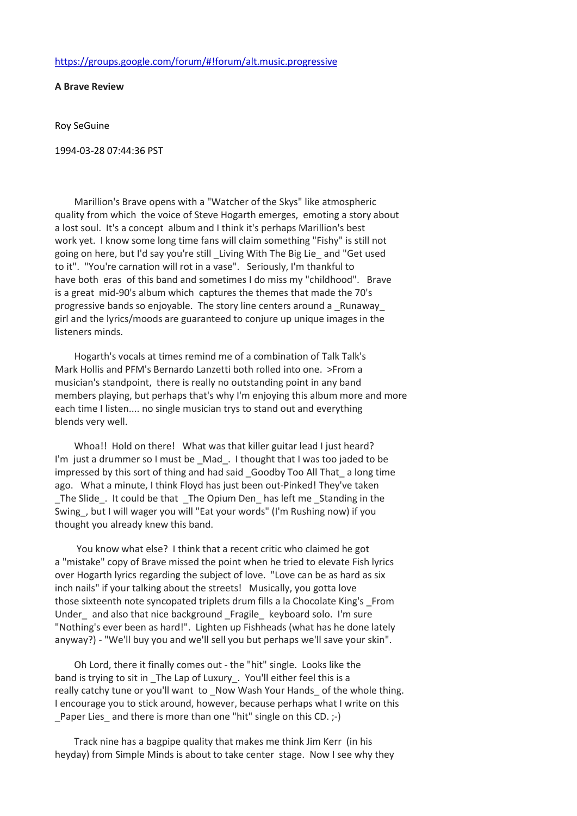A Brave Review

Roy SeGuine

1994-03-28 07:44:36 PST

 Marillion's Brave opens with a "Watcher of the Skys" like atmospheric quality from which the voice of Steve Hogarth emerges, emoting a story about a lost soul. It's a concept album and I think it's perhaps Marillion's best work yet. I know some long time fans will claim something "Fishy" is still not going on here, but I'd say you're still \_Living With The Big Lie\_ and "Get used to it". "You're carnation will rot in a vase". Seriously, I'm thankful to have both eras of this band and sometimes I do miss my "childhood". Brave is a great mid-90's album which captures the themes that made the 70's progressive bands so enjoyable. The story line centers around a \_Runaway\_ girl and the lyrics/moods are guaranteed to conjure up unique images in the listeners minds.

 Hogarth's vocals at times remind me of a combination of Talk Talk's Mark Hollis and PFM's Bernardo Lanzetti both rolled into one. >From a musician's standpoint, there is really no outstanding point in any band members playing, but perhaps that's why I'm enjoying this album more and more each time I listen.... no single musician trys to stand out and everything blends very well.

Whoa!! Hold on there! What was that killer guitar lead I just heard? I'm just a drummer so I must be \_Mad\_. I thought that I was too jaded to be impressed by this sort of thing and had said \_Goodby Too All That\_ a long time ago. What a minute, I think Floyd has just been out-Pinked! They've taken \_The Slide\_. It could be that \_The Opium Den\_ has left me \_Standing in the Swing\_, but I will wager you will "Eat your words" (I'm Rushing now) if you thought you already knew this band.

 You know what else? I think that a recent critic who claimed he got a "mistake" copy of Brave missed the point when he tried to elevate Fish lyrics over Hogarth lyrics regarding the subject of love. "Love can be as hard as six inch nails" if your talking about the streets! Musically, you gotta love those sixteenth note syncopated triplets drum fills a la Chocolate King's \_From Under and also that nice background Fragile keyboard solo. I'm sure "Nothing's ever been as hard!". Lighten up Fishheads (what has he done lately anyway?) - "We'll buy you and we'll sell you but perhaps we'll save your skin".

 Oh Lord, there it finally comes out - the "hit" single. Looks like the band is trying to sit in \_The Lap of Luxury\_. You'll either feel this is a really catchy tune or you'll want to \_Now Wash Your Hands\_ of the whole thing. I encourage you to stick around, however, because perhaps what I write on this Paper Lies and there is more than one "hit" single on this CD.  $;$ -)

 Track nine has a bagpipe quality that makes me think Jim Kerr (in his heyday) from Simple Minds is about to take center stage. Now I see why they